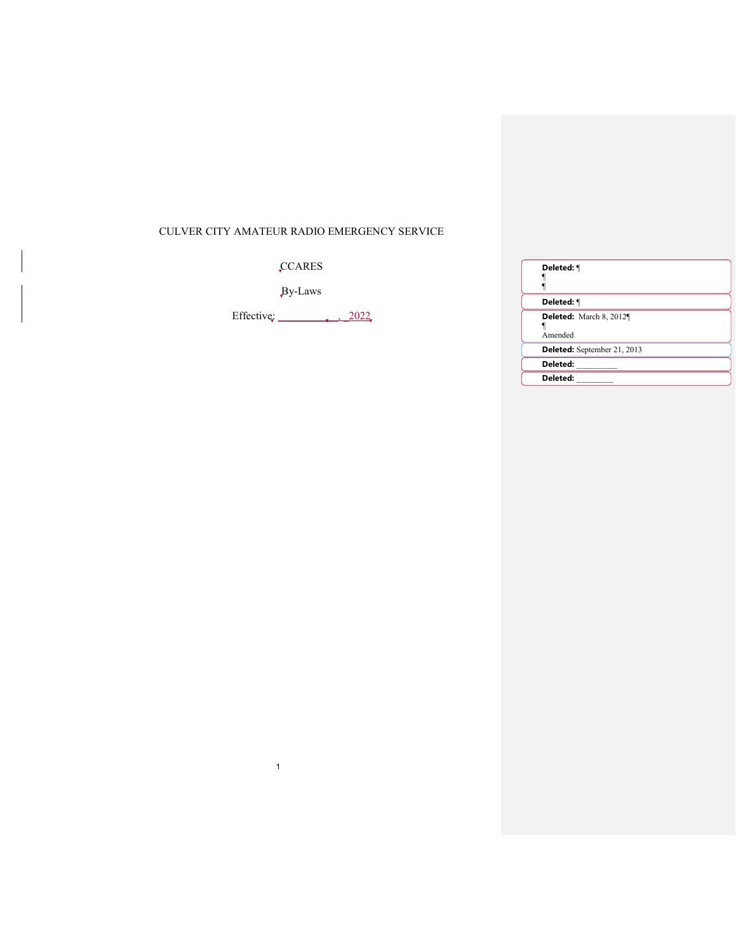# CULVER CITY AMATEUR RADIO EMERGENCY SERVICE

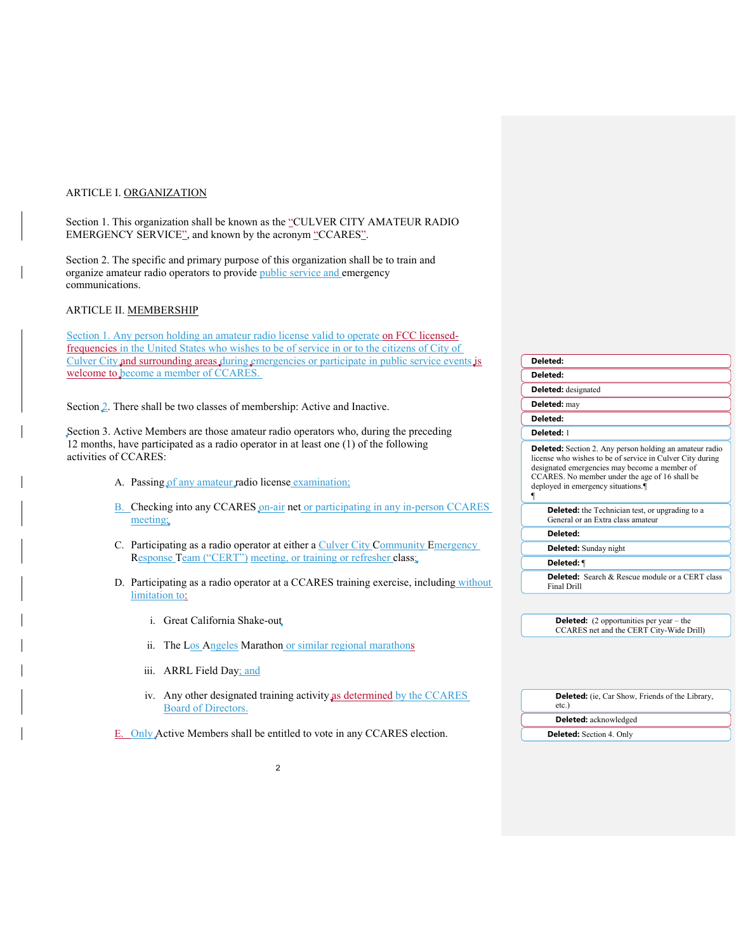### ARTICLE I. ORGANIZATION

Section 1. This organization shall be known as the "CULVER CITY AMATEUR RADIO EMERGENCY SERVICE", and known by the acronym "CCARES".

Section 2. The specific and primary purpose of this organization shall be to train and organize amateur radio operators to provide public service and emergency communications.

### ARTICLE II. MEMBERSHIP

Section 1. Any person holding an amateur radio license value frequencies in the United States who wishes to be of service Culver City and surrounding areas during emergencies or participate welcome to become a member of CCARES.

Section 2. There shall be two classes of membership: Active

Section 3. Active Members are those amateur radio operators 12 months, have participated as a radio operator in at least activities of CCARES:

- A. Passing of any amateur radio license examin
- B. Checking into any CCARES on-air net or pa meeting;
- C. Participating as a radio operator at either a C Response Team ("CERT") meeting, or train
- D. Participating as a radio operator at a CCARI limitation to:
	- i. Great California Shake-out
	- ii. The Los Angeles Marathon or similar
	- iii. ARRL Field Day; and
	- iv. Any other designated training activity Board of Directors.

E. Only Active Members shall be entitled to vote in any CCARES election.

| lid to operate on FCC licensed-           |                                                                                                                                                                                                                                                                     |
|-------------------------------------------|---------------------------------------------------------------------------------------------------------------------------------------------------------------------------------------------------------------------------------------------------------------------|
| ce in or to the citizens of City of       |                                                                                                                                                                                                                                                                     |
| participate in public service events is   | Deleted:                                                                                                                                                                                                                                                            |
|                                           | Deleted:                                                                                                                                                                                                                                                            |
|                                           | <b>Deleted:</b> designated                                                                                                                                                                                                                                          |
| ve and Inactive.                          | Deleted: may                                                                                                                                                                                                                                                        |
|                                           | Deleted:                                                                                                                                                                                                                                                            |
| tors who, during the preceding            | Deleted: 1                                                                                                                                                                                                                                                          |
| $\pm$ one (1) of the following<br>nation; | <b>Deleted:</b> Section 2. Any person holding an amateur radio<br>license who wishes to be of service in Culver City during<br>designated emergencies may become a member of<br>CCARES. No member under the age of 16 shall be<br>deployed in emergency situations. |
|                                           |                                                                                                                                                                                                                                                                     |
| articipating in any in-person CCARES      | <b>Deleted:</b> the Technician test, or upgrading to a<br>General or an Extra class amateur                                                                                                                                                                         |
|                                           | Deleted:                                                                                                                                                                                                                                                            |
| <b>Culver City Community Emergency</b>    | <b>Deleted:</b> Sunday night                                                                                                                                                                                                                                        |
| ing or refresher class;                   | Deleted: ¶                                                                                                                                                                                                                                                          |
| ES training exercise, including without   | <b>Deleted:</b> Search & Rescue module or a CERT class<br>Final Drill                                                                                                                                                                                               |
|                                           |                                                                                                                                                                                                                                                                     |
|                                           | <b>Deleted:</b> $(2$ opportunities per year – the<br>CCARES net and the CERT City-Wide Drill)                                                                                                                                                                       |
| ar regional marathons                     |                                                                                                                                                                                                                                                                     |
|                                           |                                                                                                                                                                                                                                                                     |
|                                           |                                                                                                                                                                                                                                                                     |
| ty as determined by the CCARES            | <b>Deleted:</b> (ie, Car Show, Friends of the Library,<br>etc.                                                                                                                                                                                                      |

**Deleted:** acknowledged **Deleted:** Section 4. Only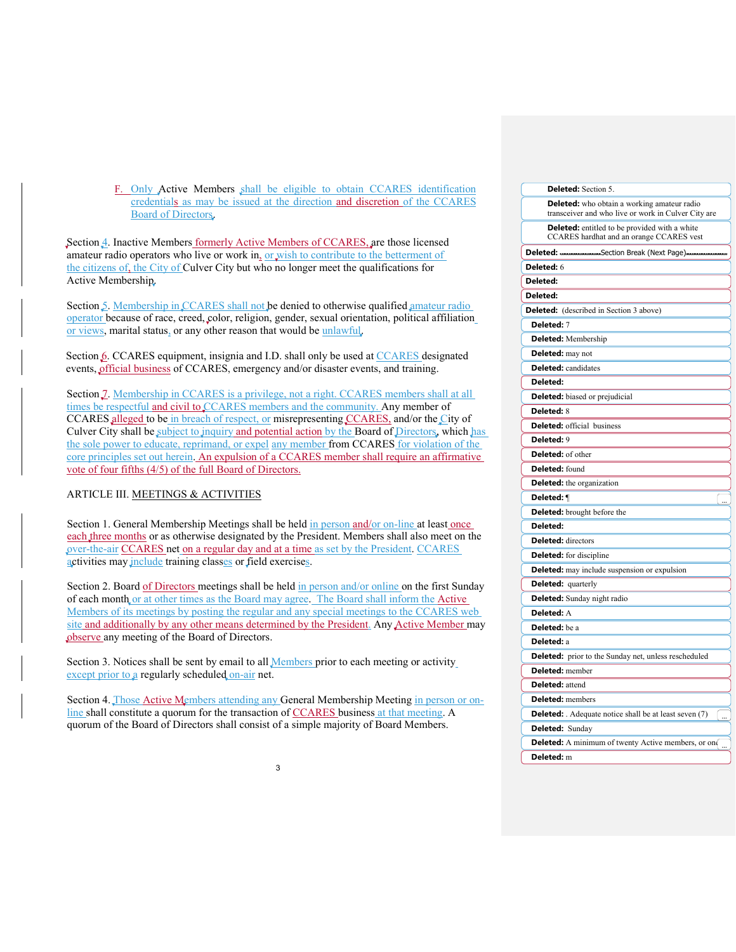F. Only Active Members shall be eligible to obtain CCARES identification credentials as may be issued at the direction and discretion of the CCARES Board of Directors.

Section 4. Inactive Members formerly Active Members of CCARES, are those licensed amateur radio operators who live or work in, or wish to contribute to the betterment of the citizens of, the City of Culver City but who no longer meet the qualifications for Active Membership.

Section 5. Membership in CCARES shall not be denied to otherwise qualified amateur radio operator because of race, creed, color, religion, gender, sexual orientation, political affiliation or views, marital status, or any other reason that would be unlawful.

Section 6. CCARES equipment, insignia and I.D. shall only be used at CCARES designated events, official business of CCARES, emergency and/or disaster events, and training.

Section 7. Membership in CCARES is a privilege, not a right. CCARES members shall at all times be respectful and civil to CCARES members and the community. Any member of CCARES alleged to be in breach of respect, or misrepresenting CCARES, and/or the City of Culver City shall be subject to inquiry and potential action by the Board of Directors, which has the sole power to educate, reprimand, or expel any member from CCARES for violation of the core principles set out herein. An expulsion of a CCARES member shall require an affirmative vote of four fifths (4/5) of the full Board of Directors.

## ARTICLE III. MEETINGS & ACTIVITIES

Section 1. General Membership Meetings shall be held in person and/or on-line at least once each three months or as otherwise designated by the President. Members shall also meet on the over-the-air CCARES net on a regular day and at a time as set by the President. CCARES activities may include training classes or field exercises.

Section 2. Board of Directors meetings shall be held in person and/or online on the first Sunday of each month or at other times as the Board may agree. The Board shall inform the Active Members of its meetings by posting the regular and any special meetings to the CCARES web site and additionally by any other means determined by the President. Any Active Member may observe any meeting of the Board of Directors.

Section 3. Notices shall be sent by email to all **Members** prior to each meeting or activity except prior to a regularly scheduled on-air net.

Section 4. Those Active Members attending any General Membership Meeting in person or online shall constitute a quorum for the transaction of CCARES business at that meeting. A quorum of the Board of Directors shall consist of a simple majority of Board Members.

| Deleted: Section 5.                                                                                       |
|-----------------------------------------------------------------------------------------------------------|
| <b>Deleted:</b> who obtain a working amateur radio<br>transceiver and who live or work in Culver City are |
| <b>Deleted:</b> entitled to be provided with a white<br>CCARES hardhat and an orange CCARES vest          |
| Deleted:<br>Section Break (Next Page).                                                                    |
| Deleted: 6                                                                                                |
| Deleted:                                                                                                  |
| Deleted:                                                                                                  |
| <b>Deleted:</b> (described in Section 3 above)                                                            |
| Deleted: 7                                                                                                |
| <b>Deleted:</b> Membership                                                                                |
| Deleted: may not                                                                                          |
| <b>Deleted:</b> candidates                                                                                |
| Deleted:                                                                                                  |
| Deleted: biased or prejudicial                                                                            |
| <b>Deleted: 8</b>                                                                                         |
| <b>Deleted:</b> official business                                                                         |
| Deleted: 9                                                                                                |
| Deleted: of other                                                                                         |
| Deleted: found                                                                                            |
| <b>Deleted:</b> the organization                                                                          |
| Deleted: ¶                                                                                                |
| <b>Deleted:</b> brought before the                                                                        |
| Deleted:                                                                                                  |
| <b>Deleted:</b> directors                                                                                 |
| <b>Deleted:</b> for discipline                                                                            |
| <b>Deleted:</b> may include suspension or expulsion                                                       |
| <b>Deleted:</b> quarterly                                                                                 |
| Deleted: Sunday night radio                                                                               |
| Deleted: A                                                                                                |
| Deleted: be a                                                                                             |
| Deleted: a                                                                                                |
| Deleted: prior to the Sunday net, unless rescheduled                                                      |
| Deleted: member                                                                                           |
| <b>Deleted:</b> attend                                                                                    |
| <b>Deleted:</b> members                                                                                   |
| <b>Deleted:</b> Adequate notice shall be at least seven (7)                                               |
| Deleted: Sunday                                                                                           |
| <b>Deleted:</b> A minimum of twenty Active members, or on                                                 |
| Deleted: m                                                                                                |
|                                                                                                           |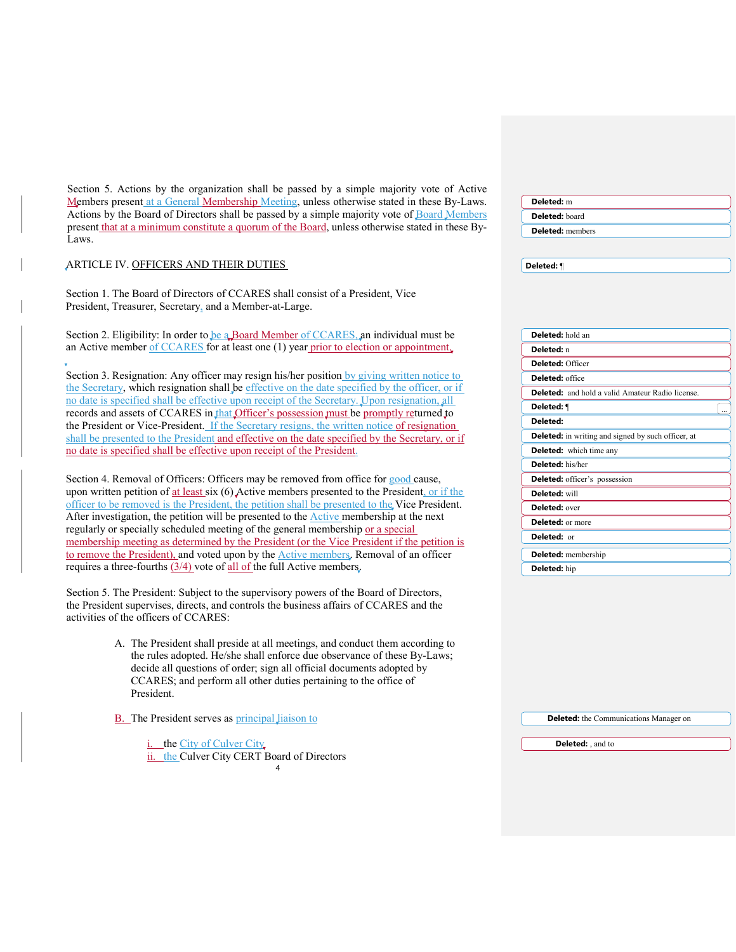Section 5. Actions by the organization shall be passed by a simple majority vote of Active Members present at a General Membership Meeting, unless otherwise stated in these By-Laws. Actions by the Board of Directors shall be passed by a simple majority vote of Board Members present that at a minimum constitute a quorum of the Board, unless otherwise stated in these By-Laws. ARTICLE IV. OFFICERS AND THEIR DUTIES Section 1. The Board of Directors of CCARES shall consist of a President, Vice President, Treasurer, Secretary, and a Member-at-Large. Section 2. Eligibility: In order to be a Board Member of CCARES, an individual must be an Active member of CCARES for at least one (1) year prior to election or appointment. Section 3. Resignation: Any officer may resign his/her position by giving written notice to the Secretary, which resignation shall be effective on the date specified by the officer, or if no date is specified shall be effective upon receipt of the Secretary. Upon resignation, all records and assets of CCARES in that Officer's possession must be promptly returned to the President or Vice-President. If the Secretary resigns, the written notice of resignation shall be presented to the President and effective on the date specified by the Secretary, or if no date is specified shall be effective upon receipt of the President. Section 4. Removal of Officers: Officers may be removed from office for good cause, upon written petition of at least six  $(6)$  Active members presented to the President, or if the officer to be removed is the President, the petition shall be presented to the Vice President. After investigation, the petition will be presented to the **Active membership at the next** regularly or specially scheduled meeting of the general membership or a special membership meeting as determined by the President (or the Vice President if the petition is to remove the President), and voted upon by the **Active members**. Removal of an officer requires a three-fourths  $(3/4)$  vote of all of the full Active members. Section 5. The President: Subject to the supervisory powers of the Board of Directors, the President supervises, directs, and controls the business affairs of CCARES and the activities of the officers of CCARES: A. The President shall preside at all meetings, and conduct them according to the rules adopted. He/she shall enforce due observance of these By-Laws; decide all questions of order; sign all official documents adopted by CCARES; and perform all other duties pertaining to the office of President. B. The President serves as principal liaison to i. the City of Culver City ii. the Culver City CERT Board of Directors **Deleted:** m **Deleted:** board **Deleted:** members **Deleted:** ¶ **Deleted:** hold an **Deleted:** n **Deleted:** Officer **Deleted:** office **Deleted:** and hold a valid Amateur Radio license. **Deleted:** ¶ ... **Deleted: Deleted:** in writing and signed by such officer, at **Deleted:** which time any **Deleted:** his/her **Deleted:** officer's possession **Deleted:** will **Deleted:** over **Deleted:** or more **Deleted:** or **Deleted:** membership **Deleted:** hip **Deleted:** the Communications Manager on **Deleted:** , and to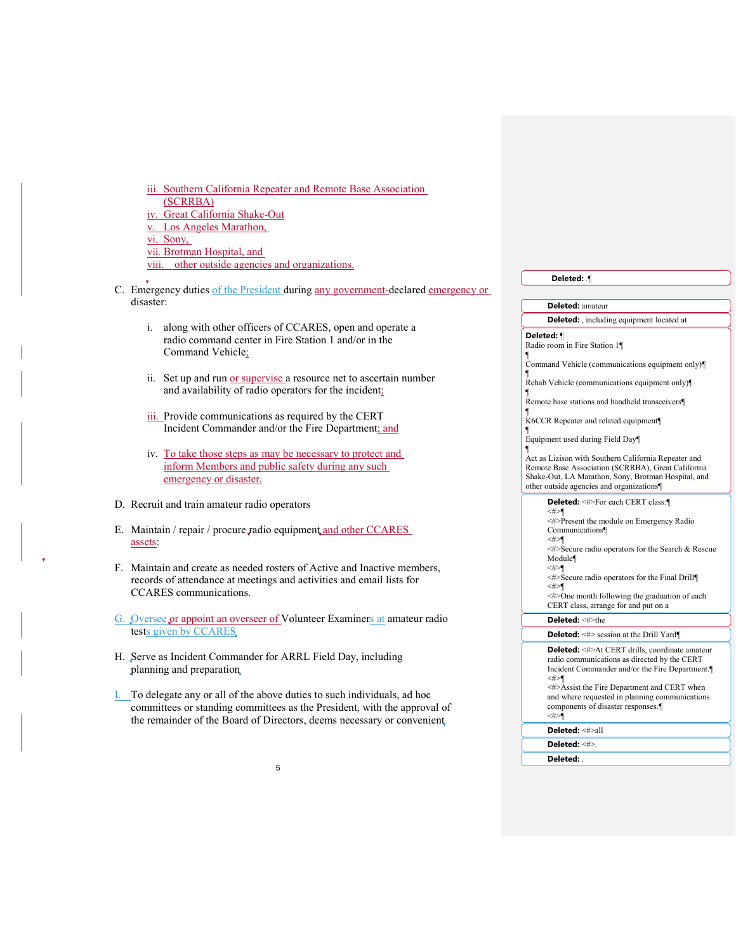iii. Southern California Repeater and Remote Base Association (SCRRBA) iv. Great California Shake-Out v. Los Angeles Marathon,

vi. Sony,

vii. Brotman Hospital, and

viii. other outside agencies and organizations.

C. Emergency duties of the President during any government-declared emergency or disaster:

- i. along with other officers of CCARES, open and operate a radio command center in Fire Station 1 and/or in the Command Vehicle;
- ii. Set up and run or supervise a resource net to ascertain number and availability of radio operators for the incident;
- iii. Provide communications as required by the CERT Incident Commander and/or the Fire Department; and
- iv. To take those steps as may be necessary to protect and inform Members and public safety during any such emergency or disaster.

D. Recruit and train amateur radio operators

- E. Maintain / repair / procure radio equipment and other CCARES assets:
- F. Maintain and create as needed rosters of Active and Inactive members, records of attendance at meetings and activities and email lists for CCARES communications.

G. Oversee or appoint an overseer of Volunteer Examiners at amateur radio tests given by CCARES

- H. Serve as Incident Commander for ARRL Field Day, including planning and preparation
- I. To delegate any or all of the above duties to such individuals, ad hoc committees or standing committees as the President, with the approval of the remainder of the Board of Directors, deems necessary or convenient

| Deleted: ¶                                                                                                                                                                                                                                                                                                          |
|---------------------------------------------------------------------------------------------------------------------------------------------------------------------------------------------------------------------------------------------------------------------------------------------------------------------|
|                                                                                                                                                                                                                                                                                                                     |
| <b>Deleted:</b> amateur                                                                                                                                                                                                                                                                                             |
| <b>Deleted:</b> , including equipment located at                                                                                                                                                                                                                                                                    |
| Deleted: ¶<br>Radio room in Fire Station 1¶<br>1<br>Command Vehicle (communications equipment only)                                                                                                                                                                                                                 |
| ¶<br>Rehab Vehicle (communications equipment only)<br>ſ                                                                                                                                                                                                                                                             |
| Remote base stations and handheld transceivers¶<br>ſ<br>K6CCR Repeater and related equipment¶                                                                                                                                                                                                                       |
| 1<br>Equipment used during Field Day<br>¶                                                                                                                                                                                                                                                                           |
| Act as Liaison with Southern California Repeater and<br>Remote Base Association (SCRRBA), Great California<br>Shake-Out, LA Marathon, Sony, Brotman Hospital, and<br>other outside agencies and organizations                                                                                                       |
| Deleted: <#>For each CERT class:¶<br><#>¶<br>$\leq \nexists$ Present the module on Emergency Radio<br>Communications<br><#>¶<br><#>Secure radio operators for the Search & Rescue<br>Module¶                                                                                                                        |
| $<\neq>$<br>$\leq$ #>Secure radio operators for the Final Drill<br><#>¶                                                                                                                                                                                                                                             |
| $\leq \nexists$ One month following the graduation of each<br>CERT class, arrange for and put on a                                                                                                                                                                                                                  |
| <b>Deleted:</b> <#>the                                                                                                                                                                                                                                                                                              |
| Deleted: <#> session at the Drill Yard¶                                                                                                                                                                                                                                                                             |
| <b>Deleted:</b> <#>At CERT drills, coordinate amateur<br>radio communications as directed by the CERT<br>Incident Commander and/or the Fire Department.<br>$<\n#>$<br><#>Assist the Fire Department and CERT when<br>and where requested in planning communications<br>components of disaster responses.<br>$<\n#>$ |
| Deleted: <#>all                                                                                                                                                                                                                                                                                                     |
| <b>Deleted</b> <#>                                                                                                                                                                                                                                                                                                  |

**Deleted:** .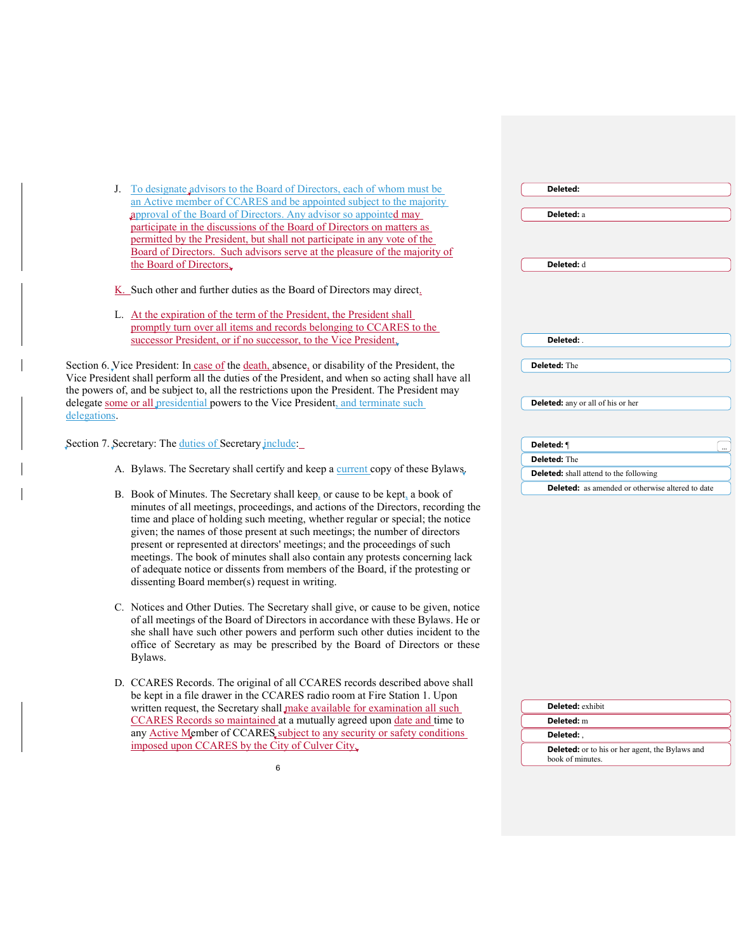| J. To designate advisors to the Board of Directors, each of whom must be                        | Deleted:                                                |
|-------------------------------------------------------------------------------------------------|---------------------------------------------------------|
| an Active member of CCARES and be appointed subject to the majority                             |                                                         |
| approval of the Board of Directors. Any advisor so appointed may                                | Deleted: a                                              |
| participate in the discussions of the Board of Directors on matters as                          |                                                         |
| permitted by the President, but shall not participate in any vote of the                        |                                                         |
| Board of Directors. Such advisors serve at the pleasure of the majority of                      |                                                         |
| the Board of Directors.                                                                         | Deleted: d                                              |
| K. Such other and further duties as the Board of Directors may direct.                          |                                                         |
| L. At the expiration of the term of the President, the President shall                          |                                                         |
| promptly turn over all items and records belonging to CCARES to the                             |                                                         |
| successor President, or if no successor, to the Vice President,                                 | Deleted:                                                |
|                                                                                                 |                                                         |
| Section 6. Vice President: In case of the death, absence, or disability of the President, the   | <b>Deleted:</b> The                                     |
| Vice President shall perform all the duties of the President, and when so acting shall have all |                                                         |
| the powers of, and be subject to, all the restrictions upon the President. The President may    |                                                         |
| delegate some or all presidential powers to the Vice President, and terminate such              | <b>Deleted:</b> any or all of his or her                |
| delegations.                                                                                    |                                                         |
| Section 7. Secretary: The duties of Secretary include:                                          | Deleted: ¶                                              |
|                                                                                                 |                                                         |
| A. Bylaws. The Secretary shall certify and keep a current copy of these Bylaws.                 | Deleted: The                                            |
|                                                                                                 | <b>Deleted:</b> shall attend to the following           |
| B. Book of Minutes. The Secretary shall keep, or cause to be kept, a book of                    | <b>Deleted:</b> as amended or otherwise altered to date |
| minutes of all meetings, proceedings, and actions of the Directors, recording the               |                                                         |
| time and place of holding such meeting, whether regular or special; the notice                  |                                                         |
| given; the names of those present at such meetings; the number of directors                     |                                                         |
| present or represented at directors' meetings; and the proceedings of such                      |                                                         |
| meetings. The book of minutes shall also contain any protests concerning lack                   |                                                         |
| of adequate notice or dissents from members of the Board, if the protesting or                  |                                                         |
| dissenting Board member(s) request in writing.                                                  |                                                         |
|                                                                                                 |                                                         |
| C. Notices and Other Duties. The Secretary shall give, or cause to be given, notice             |                                                         |
| of all meetings of the Board of Directors in accordance with these Bylaws. He or                |                                                         |
| she shall have such other powers and perform such other duties incident to the                  |                                                         |
| office of Secretary as may be prescribed by the Board of Directors or these                     |                                                         |
| Bylaws.                                                                                         |                                                         |
| D. CCARES Records. The original of all CCARES records described above shall                     |                                                         |
| be kept in a file drawer in the CCARES radio room at Fire Station 1. Upon                       |                                                         |
| written request, the Secretary shall make available for examination all such                    | <b>Deleted:</b> exhibit                                 |
| CCARES Records so maintained at a mutually agreed upon date and time to                         | Deleted: m                                              |
| any Active Member of CCARES subject to any security or safety conditions                        | Deleted:                                                |
| imposed upon CCARES by the City of Culver City.                                                 | <b>Deleted:</b> or to his or her agent, the Bylaws and  |
| 6                                                                                               | book of minutes.                                        |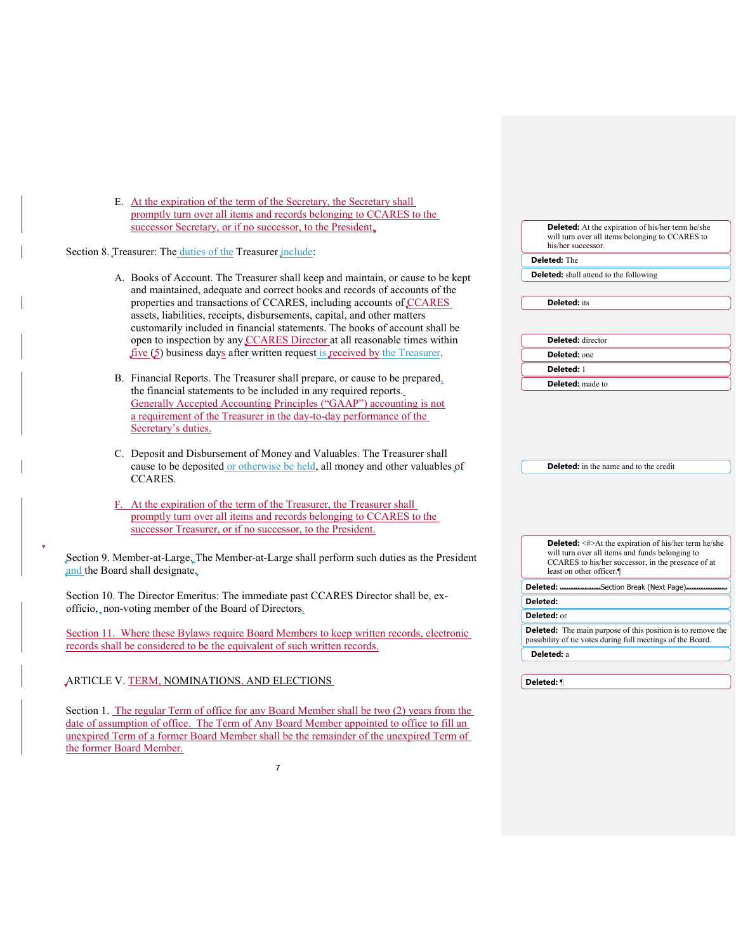|                                | E. At the expiration of the term of the Secretary, the Secretary shall                                                                          |                                                                                                                                   |
|--------------------------------|-------------------------------------------------------------------------------------------------------------------------------------------------|-----------------------------------------------------------------------------------------------------------------------------------|
|                                | promptly turn over all items and records belonging to CCARES to the                                                                             |                                                                                                                                   |
|                                | successor Secretary, or if no successor, to the President.                                                                                      | <b>Deleted:</b> At the expiration of his/her term he/she<br>will turn over all items belonging to CCARES to<br>his/her successor. |
|                                | Section 8. Treasurer: The duties of the Treasurer <i>include</i> :                                                                              | <b>Deleted:</b> The                                                                                                               |
|                                |                                                                                                                                                 | <b>Deleted:</b> shall attend to the following                                                                                     |
|                                | A. Books of Account. The Treasurer shall keep and maintain, or cause to be kept                                                                 |                                                                                                                                   |
|                                | and maintained, adequate and correct books and records of accounts of the                                                                       |                                                                                                                                   |
|                                | properties and transactions of CCARES, including accounts of CCARES                                                                             | <b>Deleted:</b> its                                                                                                               |
|                                | assets, liabilities, receipts, disbursements, capital, and other matters                                                                        |                                                                                                                                   |
|                                | customarily included in financial statements. The books of account shall be                                                                     | <b>Deleted:</b> director                                                                                                          |
|                                | open to inspection by any CCARES Director at all reasonable times within                                                                        |                                                                                                                                   |
|                                | five (5) business days after written request is received by the Treasurer.                                                                      | Deleted: one                                                                                                                      |
|                                |                                                                                                                                                 | Deleted: 1                                                                                                                        |
|                                | B. Financial Reports. The Treasurer shall prepare, or cause to be prepared,<br>the financial statements to be included in any required reports. | <b>Deleted:</b> made to                                                                                                           |
|                                | Generally Accepted Accounting Principles ("GAAP") accounting is not                                                                             |                                                                                                                                   |
|                                | a requirement of the Treasurer in the day-to-day performance of the                                                                             |                                                                                                                                   |
|                                |                                                                                                                                                 |                                                                                                                                   |
|                                | Secretary's duties.                                                                                                                             |                                                                                                                                   |
|                                | C. Deposit and Disbursement of Money and Valuables. The Treasurer shall                                                                         |                                                                                                                                   |
|                                | cause to be deposited or otherwise be held, all money and other valuables of                                                                    | <b>Deleted:</b> in the name and to the credit                                                                                     |
|                                | <b>CCARES.</b>                                                                                                                                  |                                                                                                                                   |
|                                | F. At the expiration of the term of the Treasurer, the Treasurer shall                                                                          |                                                                                                                                   |
|                                | promptly turn over all items and records belonging to CCARES to the                                                                             |                                                                                                                                   |
|                                | successor Treasurer, or if no successor, to the President.                                                                                      |                                                                                                                                   |
|                                |                                                                                                                                                 | <b>Deleted:</b> <#>At the expiration of his/her term he/she                                                                       |
|                                |                                                                                                                                                 | will turn over all items and funds belonging to                                                                                   |
|                                | Section 9. Member-at-Large. The Member-at-Large shall perform such duties as the President                                                      | CCARES to his/her successor, in the presence of at                                                                                |
| and the Board shall designate. |                                                                                                                                                 | least on other officer.                                                                                                           |
|                                | Section 10. The Director Emeritus: The immediate past CCARES Director shall be, ex-                                                             | Deleted: -<br>-Section Break (Next Page)-                                                                                         |
|                                |                                                                                                                                                 |                                                                                                                                   |
|                                |                                                                                                                                                 | Deleted:                                                                                                                          |
|                                | officio, non-voting member of the Board of Directors.                                                                                           | Deleted: or                                                                                                                       |
|                                |                                                                                                                                                 |                                                                                                                                   |
|                                | Section 11. Where these Bylaws require Board Members to keep written records, electronic                                                        | <b>Deleted:</b> The main purpose of this position is to remove the<br>possibility of tie votes during full meetings of the Board. |
|                                | records shall be considered to be the equivalent of such written records.                                                                       | Deleted: a                                                                                                                        |

Section 1. The regular Term of office for any Board Member shall be two (2) years from the date of assumption of office. The Term of Any Board Member appointed to office to fill an unexpired Term of a former Board Member shall be the remainder of the unexpired Term of the former Board Member.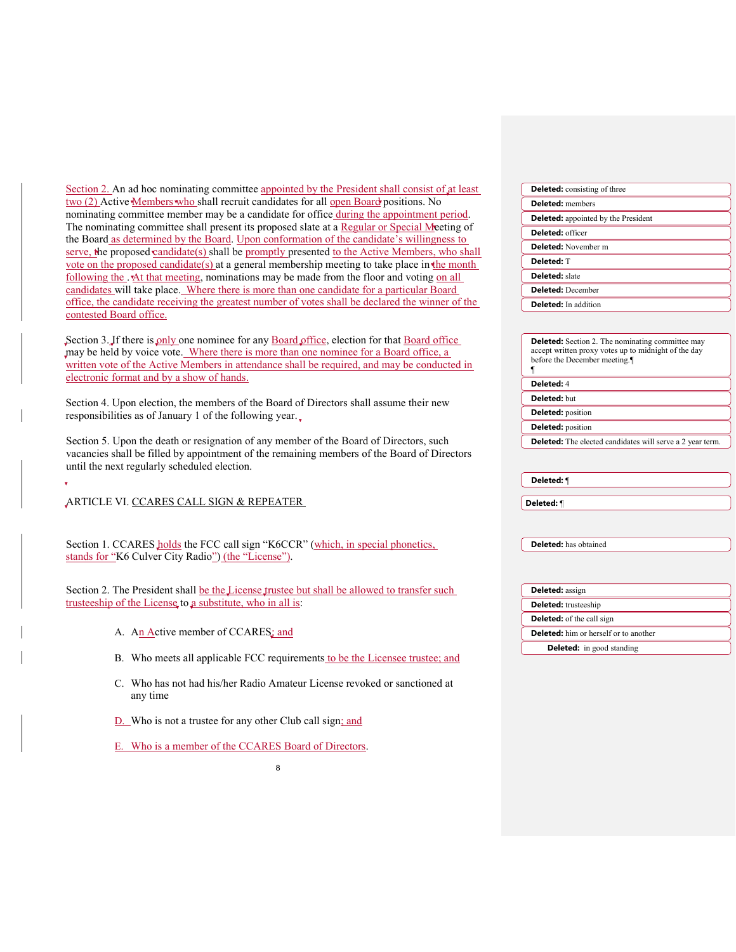| Section 2. An ad hoc nominating committee appointed by the President shall consist of at least                                                                                                                                                                                       | <b>Deleted:</b> consisting of three                                                                                                             |
|--------------------------------------------------------------------------------------------------------------------------------------------------------------------------------------------------------------------------------------------------------------------------------------|-------------------------------------------------------------------------------------------------------------------------------------------------|
| two (2) Active Members who shall recruit candidates for all open Board positions. No                                                                                                                                                                                                 | <b>Deleted:</b> members                                                                                                                         |
| nominating committee member may be a candidate for office during the appointment period.                                                                                                                                                                                             | <b>Deleted:</b> appointed by the President                                                                                                      |
| The nominating committee shall present its proposed slate at a Regular or Special Meeting of                                                                                                                                                                                         | Deleted: officer                                                                                                                                |
| the Board as determined by the Board. Upon conformation of the candidate's willingness to                                                                                                                                                                                            | Deleted: November m                                                                                                                             |
| serve, the proposed candidate(s) shall be promptly presented to the Active Members, who shall                                                                                                                                                                                        | Deleted: T                                                                                                                                      |
| vote on the proposed candidate(s) at a general membership meeting to take place in the month<br>following the . At that meeting, nominations may be made from the floor and voting on all                                                                                            | <b>Deleted:</b> slate                                                                                                                           |
| candidates will take place. Where there is more than one candidate for a particular Board                                                                                                                                                                                            | <b>Deleted:</b> December                                                                                                                        |
| office, the candidate receiving the greatest number of votes shall be declared the winner of the                                                                                                                                                                                     | <b>Deleted:</b> In addition                                                                                                                     |
| contested Board office.                                                                                                                                                                                                                                                              |                                                                                                                                                 |
| Section 3. If there is only one nominee for any Board office, election for that Board office<br>may be held by voice vote. Where there is more than one nominee for a Board office, a<br>written vote of the Active Members in attendance shall be required, and may be conducted in | <b>Deleted:</b> Section 2. The nominating committee may<br>accept written proxy votes up to midnight of the day<br>before the December meeting. |
| electronic format and by a show of hands.                                                                                                                                                                                                                                            | Deleted: 4                                                                                                                                      |
| Section 4. Upon election, the members of the Board of Directors shall assume their new                                                                                                                                                                                               | <b>Deleted:</b> but                                                                                                                             |
| responsibilities as of January 1 of the following year.                                                                                                                                                                                                                              | <b>Deleted:</b> position                                                                                                                        |
|                                                                                                                                                                                                                                                                                      | <b>Deleted:</b> position                                                                                                                        |
| Section 5. Upon the death or resignation of any member of the Board of Directors, such<br>vacancies shall be filled by appointment of the remaining members of the Board of Directors<br>until the next regularly scheduled election.                                                | <b>Deleted:</b> The elected candidates will serve a 2 year term.                                                                                |
|                                                                                                                                                                                                                                                                                      |                                                                                                                                                 |
|                                                                                                                                                                                                                                                                                      | Deleted: ¶                                                                                                                                      |
| ARTICLE VI. CCARES CALL SIGN & REPEATER                                                                                                                                                                                                                                              | Deleted: ¶                                                                                                                                      |
| Section 1. CCARES holds the FCC call sign "K6CCR" (which, in special phonetics,<br>stands for "K6 Culver City Radio") (the "License").                                                                                                                                               | <b>Deleted:</b> has obtained                                                                                                                    |
| Section 2. The President shall be the License trustee but shall be allowed to transfer such                                                                                                                                                                                          | Deleted: assign                                                                                                                                 |
| trusteeship of the License to a substitute, who in all is:                                                                                                                                                                                                                           | <b>Deleted:</b> trusteeship                                                                                                                     |
|                                                                                                                                                                                                                                                                                      | <b>Deleted:</b> of the call sign                                                                                                                |
| A. An Active member of CCARES; and                                                                                                                                                                                                                                                   | Deleted: him or herself or to another                                                                                                           |
|                                                                                                                                                                                                                                                                                      | Deleted: in good standing                                                                                                                       |
| B. Who meets all applicable FCC requirements to be the Licensee trustee; and<br>C. Who has not had his/her Radio Amateur License revoked or sanctioned at<br>any time                                                                                                                |                                                                                                                                                 |
| D. Who is not a trustee for any other Club call sign; and                                                                                                                                                                                                                            |                                                                                                                                                 |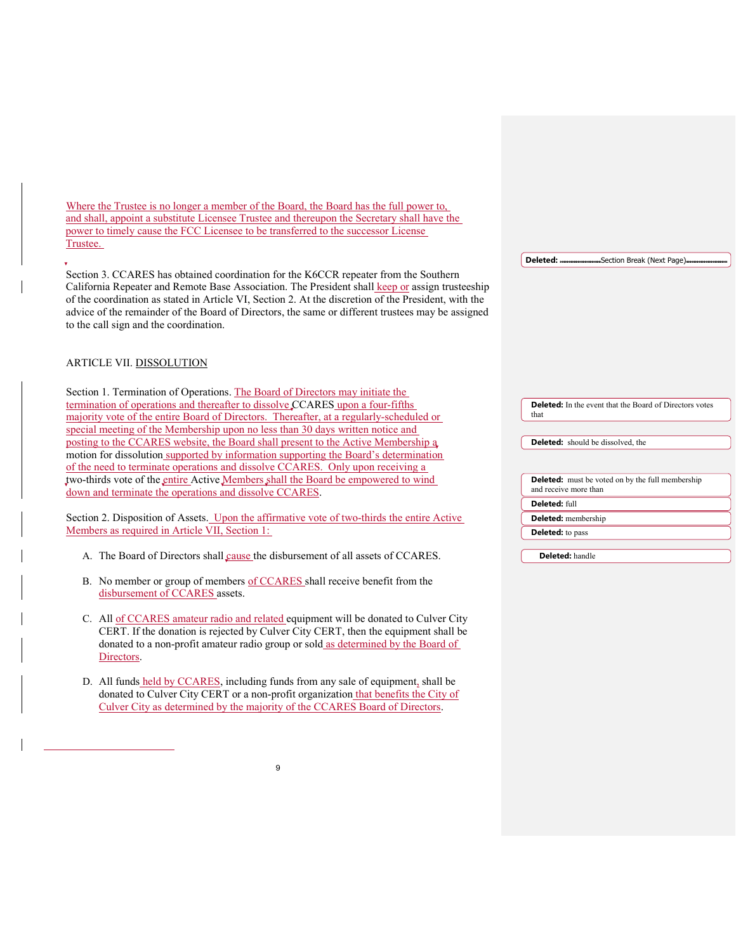Where the Trustee is no longer a member of the Board, the Board has the full power to, and shall, appoint a substitute Licensee Trustee and thereupon the Secretary shall have the power to timely cause the FCC Licensee to be transferred to the successor License Trustee.

Section 3. CCARES has obtained coordination for the K6CCR repeater from the Southern California Repeater and Remote Base Association. The President shall keep or assign trusteeship of the coordination as stated in Article VI, Section 2. At the discretion of the President, with the advice of the remainder of the Board of Directors, the same or different trustees may be assigned to the call sign and the coordination.

### ARTICLE VII. DISSOLUTION

Section 1. Termination of Operations. The Board of Directors may initiate the termination of operations and thereafter to dissolve CCARES upon a four-fifths majority vote of the entire Board of Directors. Thereafter, at a regularly-scheduled or special meeting of the Membership upon no less than 30 days written notice and posting to the CCARES website, the Board shall present to the Active Membership a motion for dissolution supported by information supporting the Board's determination of the need to terminate operations and dissolve CCARES. Only upon receiving a two-thirds vote of the entire Active Members shall the Board be empowered to wind down and terminate the operations and dissolve CCARES. Section 2. Disposition of Assets. Upon the affirmative vote of two-thirds the entire Active Members as required in Article VII, Section 1: A. The Board of Directors shall cause the disbursement of all assets of CCARES. **Deleted:** In the event that the Board of Directors votes that **Deleted:** should be dissolved, the **Deleted:** must be voted on by the full membership and receive more than **Deleted:** full **Deleted:** membership **Deleted:** to pass **Deleted:** handle

Deleted: \_\_\_\_\_\_\_\_\_\_\_\_\_\_Section Break (Next Page)

- B. No member or group of members of CCARES shall receive benefit from the disbursement of CCARES assets.
- C. All of CCARES amateur radio and related equipment will be donated to Culver City CERT. If the donation is rejected by Culver City CERT, then the equipment shall be donated to a non-profit amateur radio group or sold as determined by the Board of Directors.
- D. All funds held by CCARES, including funds from any sale of equipment, shall be donated to Culver City CERT or a non-profit organization that benefits the City of Culver City as determined by the majority of the CCARES Board of Directors.